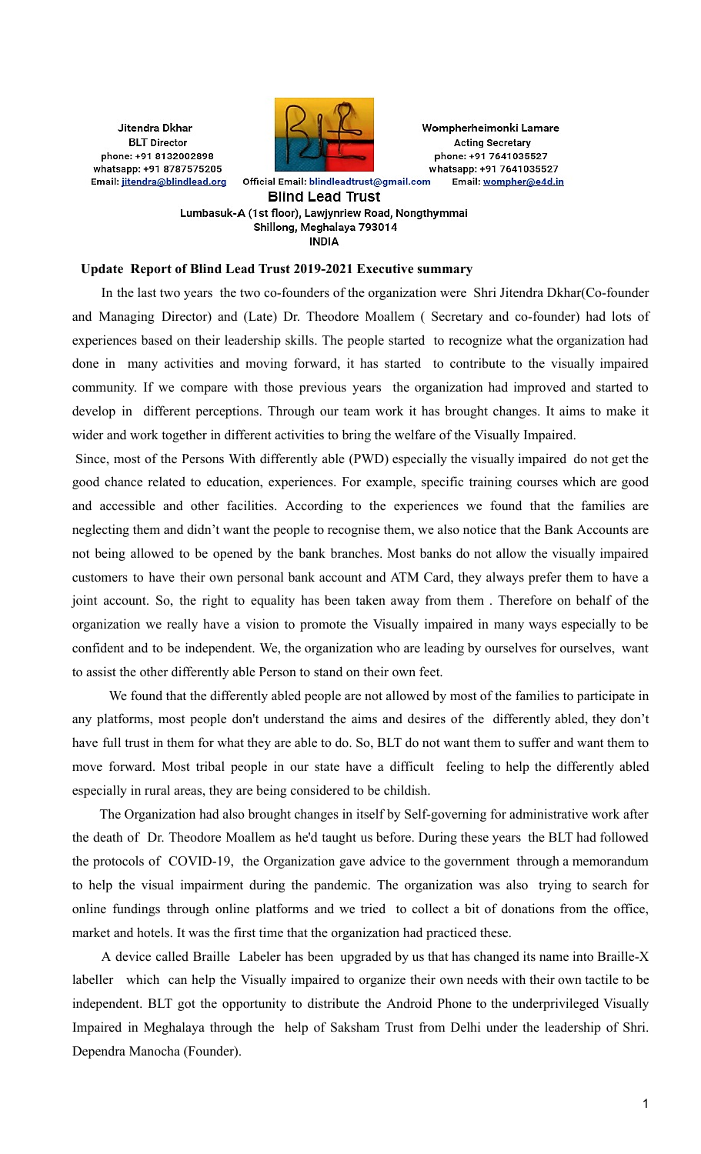Jitendra Dkhar **BLT** Director phone: +91 8132002898 whatsapp: +91 8787575205 Email: jitendra@blindlead.org



Wompherheimonki Lamare **Acting Secretary** phone: +91 7641035527 whatsapp: +91 7641035527 Email: wompher@e4d.in

Official Email: blindleadtrust@gmail.com **Blind Lead Trust** 

Lumbasuk-A (1st floor), Lawjynriew Road, Nongthymmai Shillong, Meghalaya 793014 **INDIA** 

### **Update Report of Blind Lead Trust 2019-2021 Executive summary**

In the last two years the two co-founders of the organization were Shri Jitendra Dkhar(Co-founder and Managing Director) and (Late) Dr. Theodore Moallem ( Secretary and co-founder) had lots of experiences based on their leadership skills. The people started to recognize what the organization had done in many activities and moving forward, it has started to contribute to the visually impaired community. If we compare with those previous years the organization had improved and started to develop in different perceptions. Through our team work it has brought changes. It aims to make it wider and work together in different activities to bring the welfare of the Visually Impaired.

Since, most of the Persons With differently able (PWD) especially the visually impaired do not get the good chance related to education, experiences. For example, specific training courses which are good and accessible and other facilities. According to the experiences we found that the families are neglecting them and didn't want the people to recognise them, we also notice that the Bank Accounts are not being allowed to be opened by the bank branches. Most banks do not allow the visually impaired customers to have their own personal bank account and ATM Card, they always prefer them to have a joint account. So, the right to equality has been taken away from them . Therefore on behalf of the organization we really have a vision to promote the Visually impaired in many ways especially to be confident and to be independent. We, the organization who are leading by ourselves for ourselves, want to assist the other differently able Person to stand on their own feet.

We found that the differently abled people are not allowed by most of the families to participate in any platforms, most people don't understand the aims and desires of the differently abled, they don't have full trust in them for what they are able to do. So, BLT do not want them to suffer and want them to move forward. Most tribal people in our state have a difficult feeling to help the differently abled especially in rural areas, they are being considered to be childish.

The Organization had also brought changes in itself by Self-governing for administrative work after the death of Dr. Theodore Moallem as he'd taught us before. During these years the BLT had followed the protocols of COVID-19, the Organization gave advice to the government through a memorandum to help the visual impairment during the pandemic. The organization was also trying to search for online fundings through online platforms and we tried to collect a bit of donations from the office, market and hotels. It was the first time that the organization had practiced these.

A device called Braille Labeler has been upgraded by us that has changed its name into Braille-X labeller which can help the Visually impaired to organize their own needs with their own tactile to be independent. BLT got the opportunity to distribute the Android Phone to the underprivileged Visually Impaired in Meghalaya through the help of Saksham Trust from Delhi under the leadership of Shri. Dependra Manocha (Founder).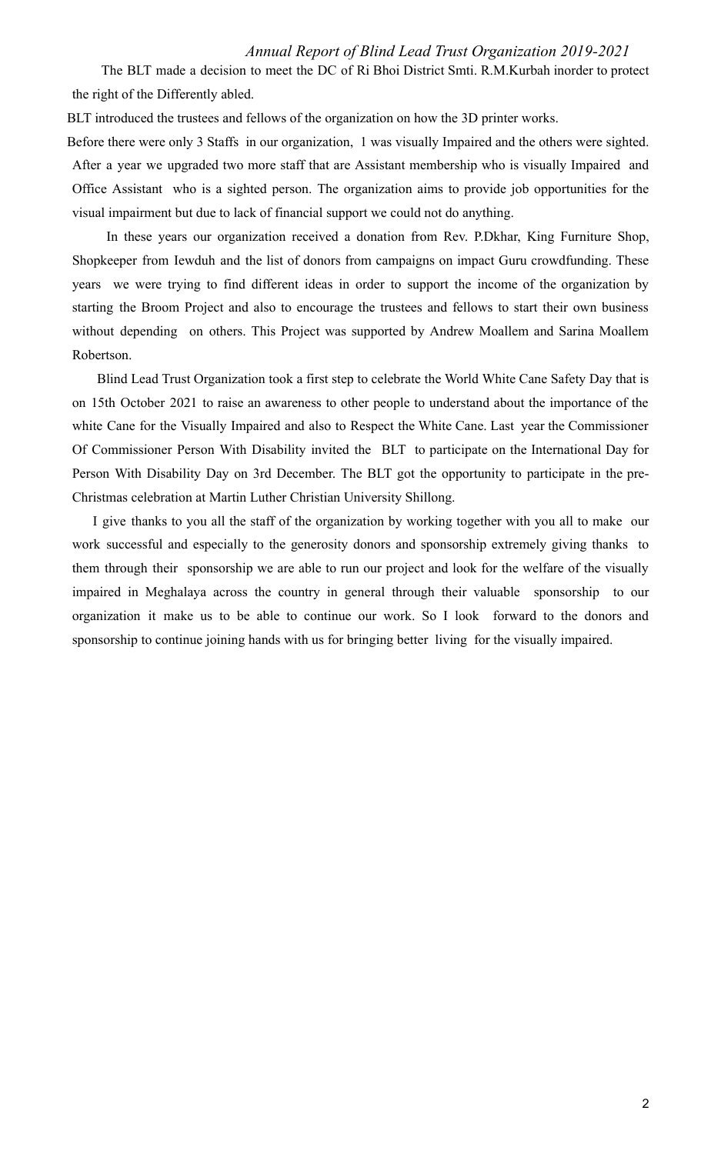The BLT made a decision to meet the DC of Ri Bhoi District Smti. R.M.Kurbah inorder to protect the right of the Differently abled.

BLT introduced the trustees and fellows of the organization on how the 3D printer works.

Before there were only 3 Staffs in our organization, 1 was visually Impaired and the others were sighted. After a year we upgraded two more staff that are Assistant membership who is visually Impaired and Office Assistant who is a sighted person. The organization aims to provide job opportunities for the visual impairment but due to lack of financial support we could not do anything.

In these years our organization received a donation from Rev. P.Dkhar, King Furniture Shop, Shopkeeper from Iewduh and the list of donors from campaigns on impact Guru crowdfunding. These years we were trying to find different ideas in order to support the income of the organization by starting the Broom Project and also to encourage the trustees and fellows to start their own business without depending on others. This Project was supported by Andrew Moallem and Sarina Moallem Robertson.

Blind Lead Trust Organization took a first step to celebrate the World White Cane Safety Day that is on 15th October 2021 to raise an awareness to other people to understand about the importance of the white Cane for the Visually Impaired and also to Respect the White Cane. Last year the Commissioner Of Commissioner Person With Disability invited the BLT to participate on the International Day for Person With Disability Day on 3rd December. The BLT got the opportunity to participate in the pre-Christmas celebration at Martin Luther Christian University Shillong.

I give thanks to you all the staff of the organization by working together with you all to make our work successful and especially to the generosity donors and sponsorship extremely giving thanks to them through their sponsorship we are able to run our project and look for the welfare of the visually impaired in Meghalaya across the country in general through their valuable sponsorship to our organization it make us to be able to continue our work. So I look forward to the donors and sponsorship to continue joining hands with us for bringing better living for the visually impaired.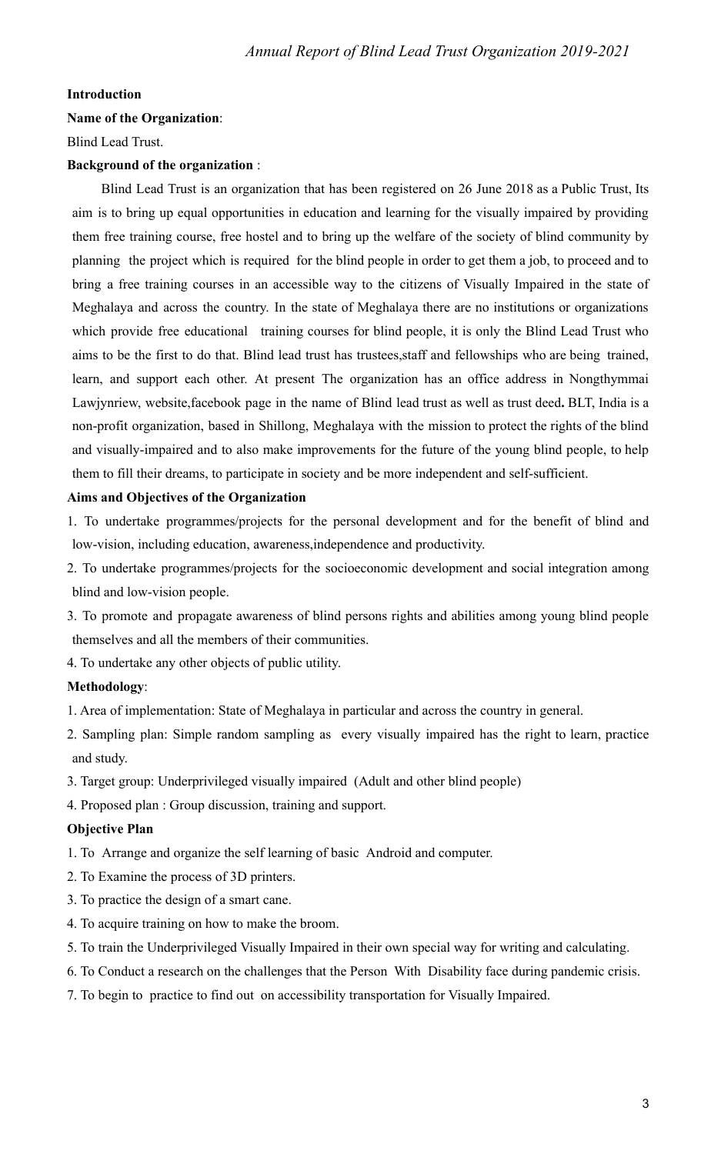### **Introduction**

### **Name of the Organization**:

Blind Lead Trust.

### **Background of the organization** :

Blind Lead Trust is an organization that has been registered on 26 June 2018 as a Public Trust, Its aim is to bring up equal opportunities in education and learning for the visually impaired by providing them free training course, free hostel and to bring up the welfare of the society of blind community by planning the project which is required for the blind people in order to get them a job, to proceed and to bring a free training courses in an accessible way to the citizens of Visually Impaired in the state of Meghalaya and across the country. In the state of Meghalaya there are no institutions or organizations which provide free educational training courses for blind people, it is only the Blind Lead Trust who aims to be the first to do that. Blind lead trust has trustees,staff and fellowships who are being trained, learn, and support each other. At present The organization has an office address in Nongthymmai Lawjynriew, website,facebook page in the name of Blind lead trust as well as trust deed**.** BLT, India is a non-profit organization, based in Shillong, Meghalaya with the mission to protect the rights of the blind and visually-impaired and to also make improvements for the future of the young blind people, to help them to fill their dreams, to participate in society and be more independent and self-sufficient.

### **Aims and Objectives of the Organization**

- 1. To undertake programmes/projects for the personal development and for the benefit of blind and low-vision, including education, awareness,independence and productivity.
- 2. To undertake programmes/projects for the socioeconomic development and social integration among blind and low-vision people.
- 3. To promote and propagate awareness of blind persons rights and abilities among young blind people themselves and all the members of their communities.
- 4. To undertake any other objects of public utility.

#### **Methodology**:

1. Area of implementation: State of Meghalaya in particular and across the country in general.

- 2. Sampling plan: Simple random sampling as every visually impaired has the right to learn, practice and study.
- 3. Target group: Underprivileged visually impaired (Adult and other blind people)
- 4. Proposed plan : Group discussion, training and support.

#### **Objective Plan**

1. To Arrange and organize the self learning of basic Android and computer.

- 2. To Examine the process of 3D printers.
- 3. To practice the design of a smart cane.
- 4. To acquire training on how to make the broom.
- 5. To train the Underprivileged Visually Impaired in their own special way for writing and calculating.
- 6. To Conduct a research on the challenges that the Person With Disability face during pandemic crisis.
- 7. To begin to practice to find out on accessibility transportation for Visually Impaired.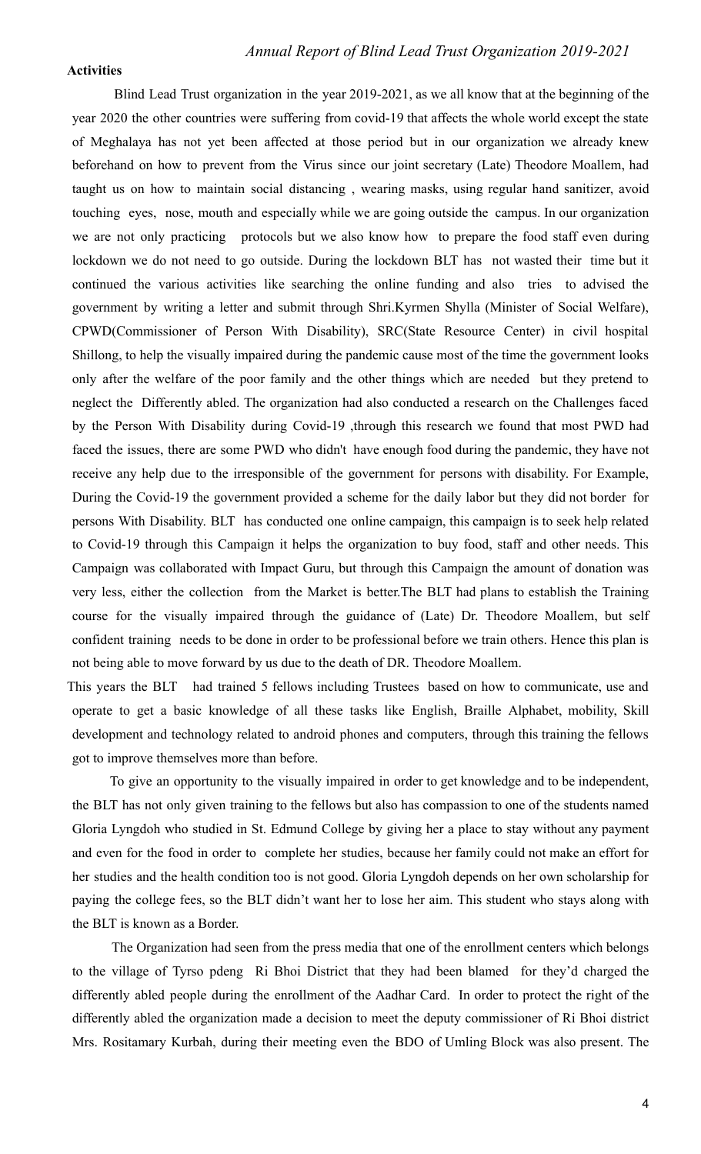#### **Activities**

Blind Lead Trust organization in the year 2019-2021, as we all know that at the beginning of the year 2020 the other countries were suffering from covid-19 that affects the whole world except the state of Meghalaya has not yet been affected at those period but in our organization we already knew beforehand on how to prevent from the Virus since our joint secretary (Late) Theodore Moallem, had taught us on how to maintain social distancing , wearing masks, using regular hand sanitizer, avoid touching eyes, nose, mouth and especially while we are going outside the campus. In our organization we are not only practicing protocols but we also know how to prepare the food staff even during lockdown we do not need to go outside. During the lockdown BLT has not wasted their time but it continued the various activities like searching the online funding and also tries to advised the government by writing a letter and submit through Shri.Kyrmen Shylla (Minister of Social Welfare), CPWD(Commissioner of Person With Disability), SRC(State Resource Center) in civil hospital Shillong, to help the visually impaired during the pandemic cause most of the time the government looks only after the welfare of the poor family and the other things which are needed but they pretend to neglect the Differently abled. The organization had also conducted a research on the Challenges faced by the Person With Disability during Covid-19 ,through this research we found that most PWD had faced the issues, there are some PWD who didn't have enough food during the pandemic, they have not receive any help due to the irresponsible of the government for persons with disability. For Example, During the Covid-19 the government provided a scheme for the daily labor but they did not border for persons With Disability. BLT has conducted one online campaign, this campaign is to seek help related to Covid-19 through this Campaign it helps the organization to buy food, staff and other needs. This Campaign was collaborated with Impact Guru, but through this Campaign the amount of donation was very less, either the collection from the Market is better.The BLT had plans to establish the Training course for the visually impaired through the guidance of (Late) Dr. Theodore Moallem, but self confident training needs to be done in order to be professional before we train others. Hence this plan is not being able to move forward by us due to the death of DR. Theodore Moallem.

This years the BLT had trained 5 fellows including Trustees based on how to communicate, use and operate to get a basic knowledge of all these tasks like English, Braille Alphabet, mobility, Skill development and technology related to android phones and computers, through this training the fellows got to improve themselves more than before.

To give an opportunity to the visually impaired in order to get knowledge and to be independent, the BLT has not only given training to the fellows but also has compassion to one of the students named Gloria Lyngdoh who studied in St. Edmund College by giving her a place to stay without any payment and even for the food in order to complete her studies, because her family could not make an effort for her studies and the health condition too is not good. Gloria Lyngdoh depends on her own scholarship for paying the college fees, so the BLT didn't want her to lose her aim. This student who stays along with the BLT is known as a Border.

The Organization had seen from the press media that one of the enrollment centers which belongs to the village of Tyrso pdeng Ri Bhoi District that they had been blamed for they'd charged the differently abled people during the enrollment of the Aadhar Card. In order to protect the right of the differently abled the organization made a decision to meet the deputy commissioner of Ri Bhoi district Mrs. Rositamary Kurbah, during their meeting even the BDO of Umling Block was also present. The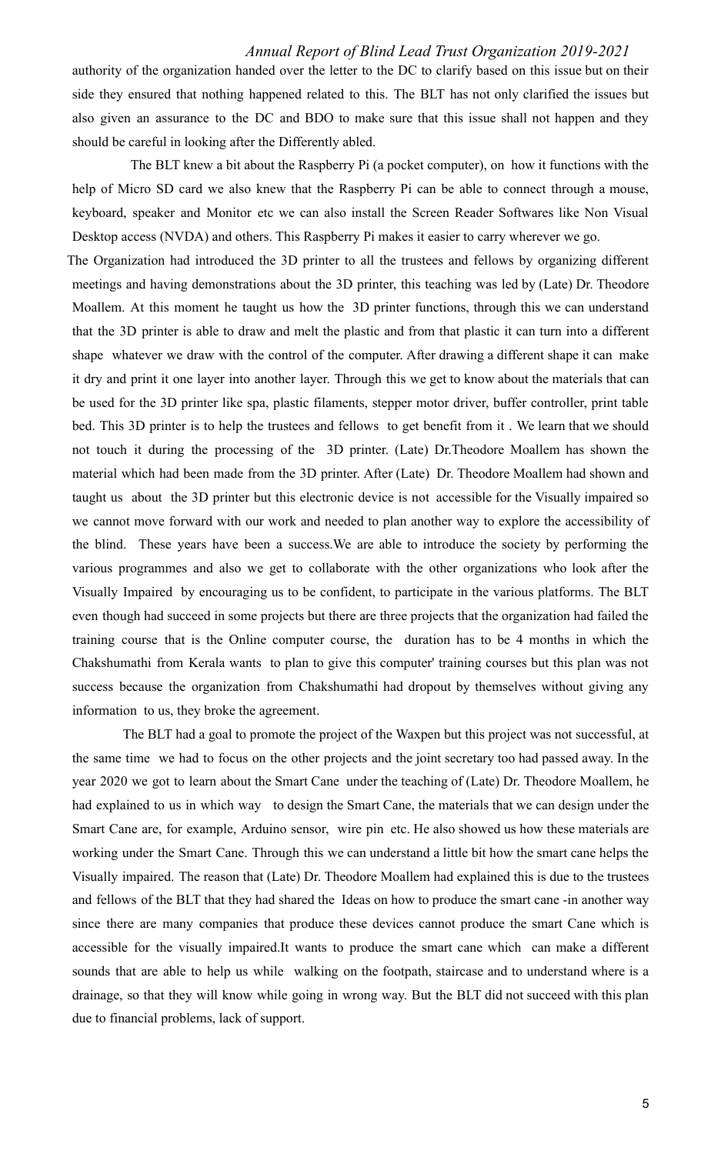authority of the organization handed over the letter to the DC to clarify based on this issue but on their side they ensured that nothing happened related to this. The BLT has not only clarified the issues but also given an assurance to the DC and BDO to make sure that this issue shall not happen and they should be careful in looking after the Differently abled.

The BLT knew a bit about the Raspberry Pi (a pocket computer), on how it functions with the help of Micro SD card we also knew that the Raspberry Pi can be able to connect through a mouse, keyboard, speaker and Monitor etc we can also install the Screen Reader Softwares like Non Visual Desktop access (NVDA) and others. This Raspberry Pi makes it easier to carry wherever we go.

The Organization had introduced the 3D printer to all the trustees and fellows by organizing different meetings and having demonstrations about the 3D printer, this teaching was led by (Late) Dr. Theodore Moallem. At this moment he taught us how the 3D printer functions, through this we can understand that the 3D printer is able to draw and melt the plastic and from that plastic it can turn into a different shape whatever we draw with the control of the computer. After drawing a different shape it can make it dry and print it one layer into another layer. Through this we get to know about the materials that can be used for the 3D printer like spa, plastic filaments, stepper motor driver, buffer controller, print table bed. This 3D printer is to help the trustees and fellows to get benefit from it . We learn that we should not touch it during the processing of the 3D printer. (Late) Dr.Theodore Moallem has shown the material which had been made from the 3D printer. After (Late) Dr. Theodore Moallem had shown and taught us about the 3D printer but this electronic device is not accessible for the Visually impaired so we cannot move forward with our work and needed to plan another way to explore the accessibility of the blind. These years have been a success.We are able to introduce the society by performing the various programmes and also we get to collaborate with the other organizations who look after the Visually Impaired by encouraging us to be confident, to participate in the various platforms. The BLT even though had succeed in some projects but there are three projects that the organization had failed the training course that is the Online computer course, the duration has to be 4 months in which the Chakshumathi from Kerala wants to plan to give this computer' training courses but this plan was not success because the organization from Chakshumathi had dropout by themselves without giving any information to us, they broke the agreement.

The BLT had a goal to promote the project of the Waxpen but this project was not successful, at the same time we had to focus on the other projects and the joint secretary too had passed away. In the year 2020 we got to learn about the Smart Cane under the teaching of (Late) Dr. Theodore Moallem, he had explained to us in which way to design the Smart Cane, the materials that we can design under the Smart Cane are, for example, Arduino sensor, wire pin etc. He also showed us how these materials are working under the Smart Cane. Through this we can understand a little bit how the smart cane helps the Visually impaired. The reason that (Late) Dr. Theodore Moallem had explained this is due to the trustees and fellows of the BLT that they had shared the Ideas on how to produce the smart cane -in another way since there are many companies that produce these devices cannot produce the smart Cane which is accessible for the visually impaired.It wants to produce the smart cane which can make a different sounds that are able to help us while walking on the footpath, staircase and to understand where is a drainage, so that they will know while going in wrong way. But the BLT did not succeed with this plan due to financial problems, lack of support.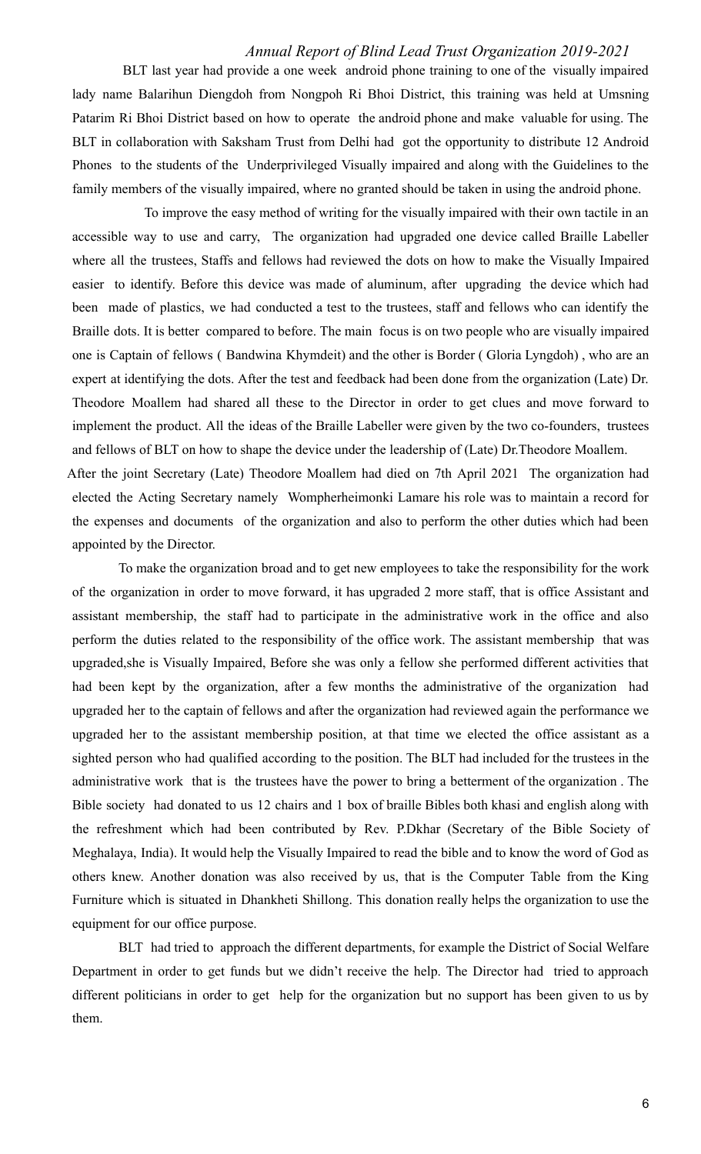BLT last year had provide a one week android phone training to one of the visually impaired lady name Balarihun Diengdoh from Nongpoh Ri Bhoi District, this training was held at Umsning Patarim Ri Bhoi District based on how to operate the android phone and make valuable for using. The BLT in collaboration with Saksham Trust from Delhi had got the opportunity to distribute 12 Android Phones to the students of the Underprivileged Visually impaired and along with the Guidelines to the family members of the visually impaired, where no granted should be taken in using the android phone.

To improve the easy method of writing for the visually impaired with their own tactile in an accessible way to use and carry, The organization had upgraded one device called Braille Labeller where all the trustees, Staffs and fellows had reviewed the dots on how to make the Visually Impaired easier to identify. Before this device was made of aluminum, after upgrading the device which had been made of plastics, we had conducted a test to the trustees, staff and fellows who can identify the Braille dots. It is better compared to before. The main focus is on two people who are visually impaired one is Captain of fellows ( Bandwina Khymdeit) and the other is Border ( Gloria Lyngdoh) , who are an expert at identifying the dots. After the test and feedback had been done from the organization (Late) Dr. Theodore Moallem had shared all these to the Director in order to get clues and move forward to implement the product. All the ideas of the Braille Labeller were given by the two co-founders, trustees and fellows of BLT on how to shape the device under the leadership of (Late) Dr.Theodore Moallem.

After the joint Secretary (Late) Theodore Moallem had died on 7th April 2021 The organization had elected the Acting Secretary namely Wompherheimonki Lamare his role was to maintain a record for the expenses and documents of the organization and also to perform the other duties which had been appointed by the Director.

To make the organization broad and to get new employees to take the responsibility for the work of the organization in order to move forward, it has upgraded 2 more staff, that is office Assistant and assistant membership, the staff had to participate in the administrative work in the office and also perform the duties related to the responsibility of the office work. The assistant membership that was upgraded,she is Visually Impaired, Before she was only a fellow she performed different activities that had been kept by the organization, after a few months the administrative of the organization had upgraded her to the captain of fellows and after the organization had reviewed again the performance we upgraded her to the assistant membership position, at that time we elected the office assistant as a sighted person who had qualified according to the position. The BLT had included for the trustees in the administrative work that is the trustees have the power to bring a betterment of the organization . The Bible society had donated to us 12 chairs and 1 box of braille Bibles both khasi and english along with the refreshment which had been contributed by Rev. P.Dkhar (Secretary of the Bible Society of Meghalaya, India). It would help the Visually Impaired to read the bible and to know the word of God as others knew. Another donation was also received by us, that is the Computer Table from the King Furniture which is situated in Dhankheti Shillong. This donation really helps the organization to use the equipment for our office purpose.

BLT had tried to approach the different departments, for example the District of Social Welfare Department in order to get funds but we didn't receive the help. The Director had tried to approach different politicians in order to get help for the organization but no support has been given to us by them.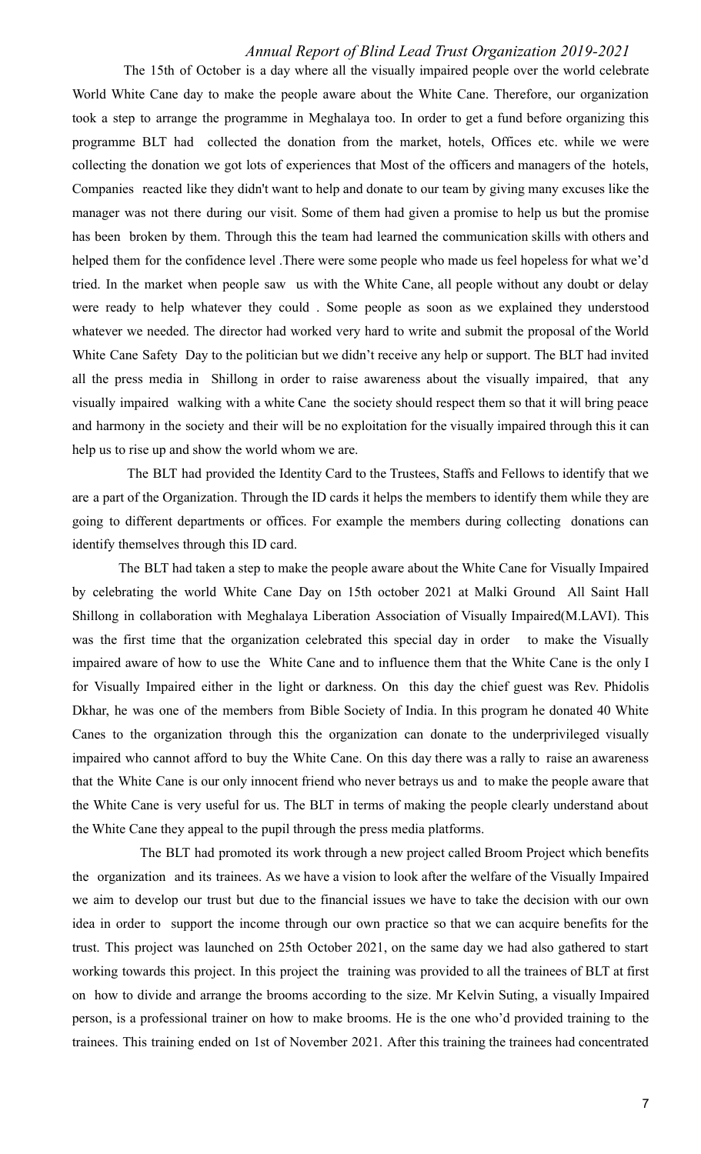The 15th of October is a day where all the visually impaired people over the world celebrate World White Cane day to make the people aware about the White Cane. Therefore, our organization took a step to arrange the programme in Meghalaya too. In order to get a fund before organizing this programme BLT had collected the donation from the market, hotels, Offices etc. while we were collecting the donation we got lots of experiences that Most of the officers and managers of the hotels, Companies reacted like they didn't want to help and donate to our team by giving many excuses like the manager was not there during our visit. Some of them had given a promise to help us but the promise has been broken by them. Through this the team had learned the communication skills with others and helped them for the confidence level .There were some people who made us feel hopeless for what we'd tried. In the market when people saw us with the White Cane, all people without any doubt or delay were ready to help whatever they could . Some people as soon as we explained they understood whatever we needed. The director had worked very hard to write and submit the proposal of the World White Cane Safety Day to the politician but we didn't receive any help or support. The BLT had invited all the press media in Shillong in order to raise awareness about the visually impaired, that any visually impaired walking with a white Cane the society should respect them so that it will bring peace and harmony in the society and their will be no exploitation for the visually impaired through this it can help us to rise up and show the world whom we are.

The BLT had provided the Identity Card to the Trustees, Staffs and Fellows to identify that we are a part of the Organization. Through the ID cards it helps the members to identify them while they are going to different departments or offices. For example the members during collecting donations can identify themselves through this ID card.

The BLT had taken a step to make the people aware about the White Cane for Visually Impaired by celebrating the world White Cane Day on 15th october 2021 at Malki Ground All Saint Hall Shillong in collaboration with Meghalaya Liberation Association of Visually Impaired(M.LAVI). This was the first time that the organization celebrated this special day in order to make the Visually impaired aware of how to use the White Cane and to influence them that the White Cane is the only I for Visually Impaired either in the light or darkness. On this day the chief guest was Rev. Phidolis Dkhar, he was one of the members from Bible Society of India. In this program he donated 40 White Canes to the organization through this the organization can donate to the underprivileged visually impaired who cannot afford to buy the White Cane. On this day there was a rally to raise an awareness that the White Cane is our only innocent friend who never betrays us and to make the people aware that the White Cane is very useful for us. The BLT in terms of making the people clearly understand about the White Cane they appeal to the pupil through the press media platforms.

The BLT had promoted its work through a new project called Broom Project which benefits the organization and its trainees. As we have a vision to look after the welfare of the Visually Impaired we aim to develop our trust but due to the financial issues we have to take the decision with our own idea in order to support the income through our own practice so that we can acquire benefits for the trust. This project was launched on 25th October 2021, on the same day we had also gathered to start working towards this project. In this project the training was provided to all the trainees of BLT at first on how to divide and arrange the brooms according to the size. Mr Kelvin Suting, a visually Impaired person, is a professional trainer on how to make brooms. He is the one who'd provided training to the trainees. This training ended on 1st of November 2021. After this training the trainees had concentrated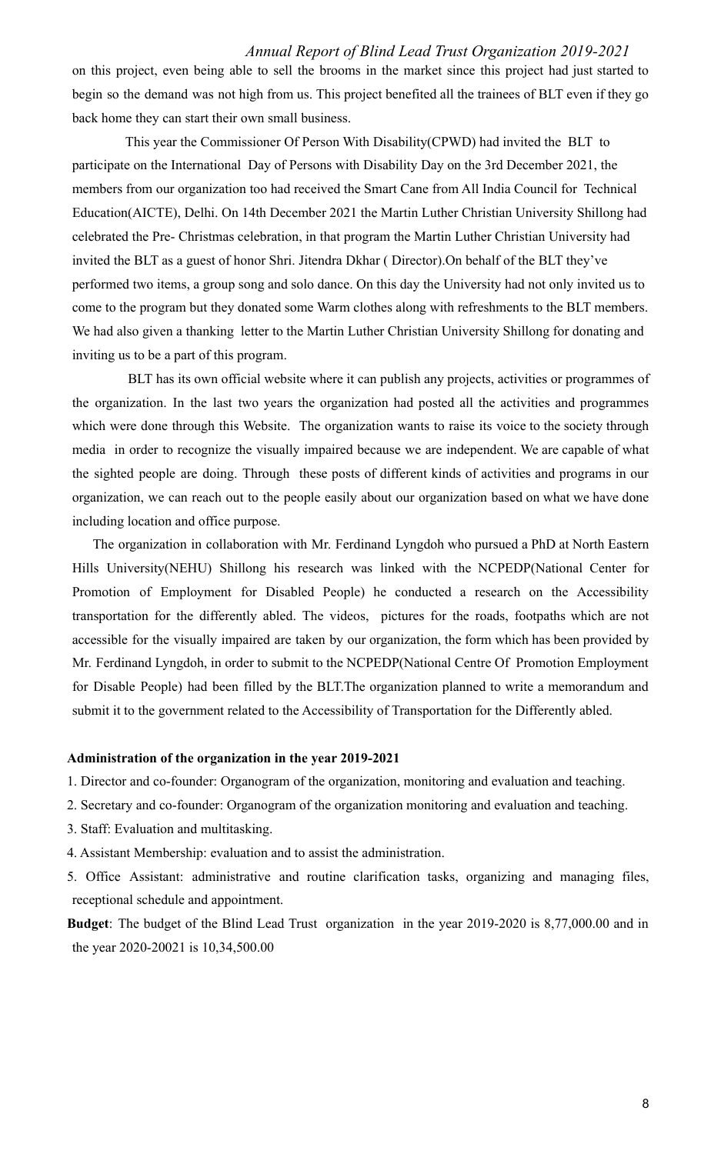on this project, even being able to sell the brooms in the market since this project had just started to begin so the demand was not high from us. This project benefited all the trainees of BLT even if they go back home they can start their own small business.

This year the Commissioner Of Person With Disability(CPWD) had invited the BLT to participate on the International Day of Persons with Disability Day on the 3rd December 2021, the members from our organization too had received the Smart Cane from All India Council for Technical Education(AICTE), Delhi. On 14th December 2021 the Martin Luther Christian University Shillong had celebrated the Pre- Christmas celebration, in that program the Martin Luther Christian University had invited the BLT as a guest of honor Shri. Jitendra Dkhar ( Director).On behalf of the BLT they've performed two items, a group song and solo dance. On this day the University had not only invited us to come to the program but they donated some Warm clothes along with refreshments to the BLT members. We had also given a thanking letter to the Martin Luther Christian University Shillong for donating and inviting us to be a part of this program.

BLT has its own official website where it can publish any projects, activities or programmes of the organization. In the last two years the organization had posted all the activities and programmes which were done through this Website. The organization wants to raise its voice to the society through media in order to recognize the visually impaired because we are independent. We are capable of what the sighted people are doing. Through these posts of different kinds of activities and programs in our organization, we can reach out to the people easily about our organization based on what we have done including location and office purpose.

The organization in collaboration with Mr. Ferdinand Lyngdoh who pursued a PhD at North Eastern Hills University(NEHU) Shillong his research was linked with the NCPEDP(National Center for Promotion of Employment for Disabled People) he conducted a research on the Accessibility transportation for the differently abled. The videos, pictures for the roads, footpaths which are not accessible for the visually impaired are taken by our organization, the form which has been provided by Mr. Ferdinand Lyngdoh, in order to submit to the NCPEDP(National Centre Of Promotion Employment for Disable People) had been filled by the BLT.The organization planned to write a memorandum and submit it to the government related to the Accessibility of Transportation for the Differently abled.

### **Administration of the organization in the year 2019-2021**

- 1. Director and co-founder: Organogram of the organization, monitoring and evaluation and teaching.
- 2. Secretary and co-founder: Organogram of the organization monitoring and evaluation and teaching.
- 3. Staff: Evaluation and multitasking.
- 4. Assistant Membership: evaluation and to assist the administration.
- 5. Office Assistant: administrative and routine clarification tasks, organizing and managing files, receptional schedule and appointment.

**Budget**: The budget of the Blind Lead Trust organization in the year 2019-2020 is 8,77,000.00 and in the year 2020-20021 is 10,34,500.00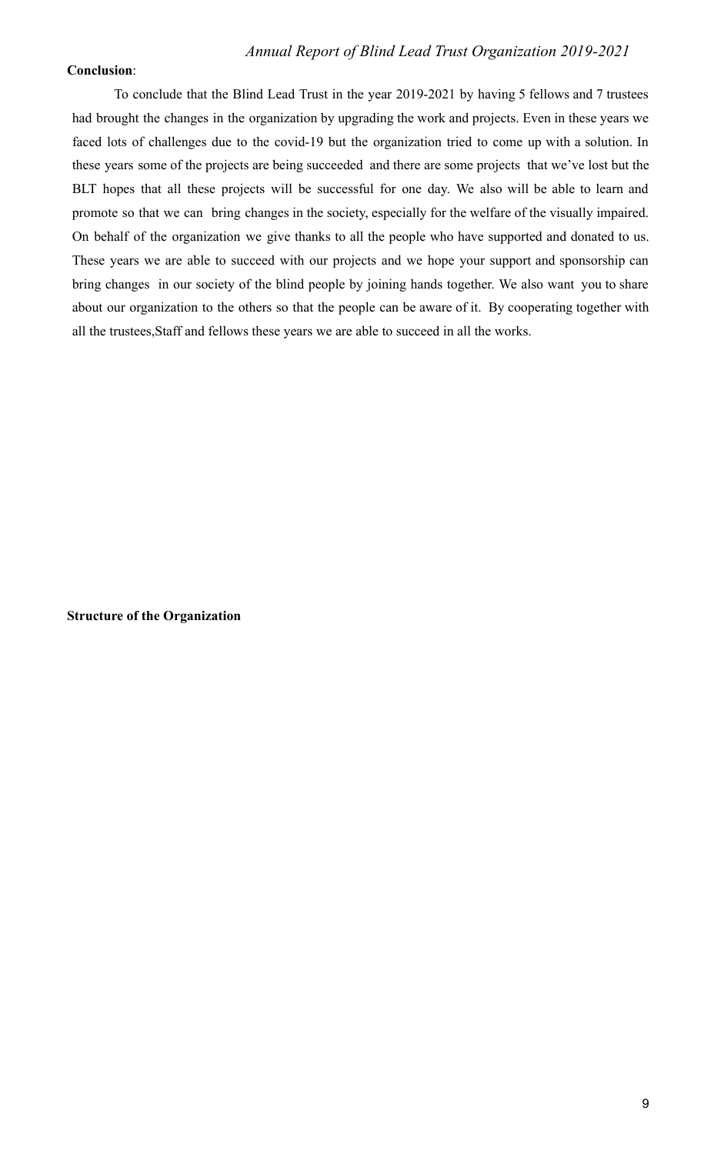### **Conclusion**:

To conclude that the Blind Lead Trust in the year 2019-2021 by having 5 fellows and 7 trustees had brought the changes in the organization by upgrading the work and projects. Even in these years we faced lots of challenges due to the covid-19 but the organization tried to come up with a solution. In these years some of the projects are being succeeded and there are some projects that we've lost but the BLT hopes that all these projects will be successful for one day. We also will be able to learn and promote so that we can bring changes in the society, especially for the welfare of the visually impaired. On behalf of the organization we give thanks to all the people who have supported and donated to us. These years we are able to succeed with our projects and we hope your support and sponsorship can bring changes in our society of the blind people by joining hands together. We also want you to share about our organization to the others so that the people can be aware of it. By cooperating together with all the trustees,Staff and fellows these years we are able to succeed in all the works.

**Structure of the Organization**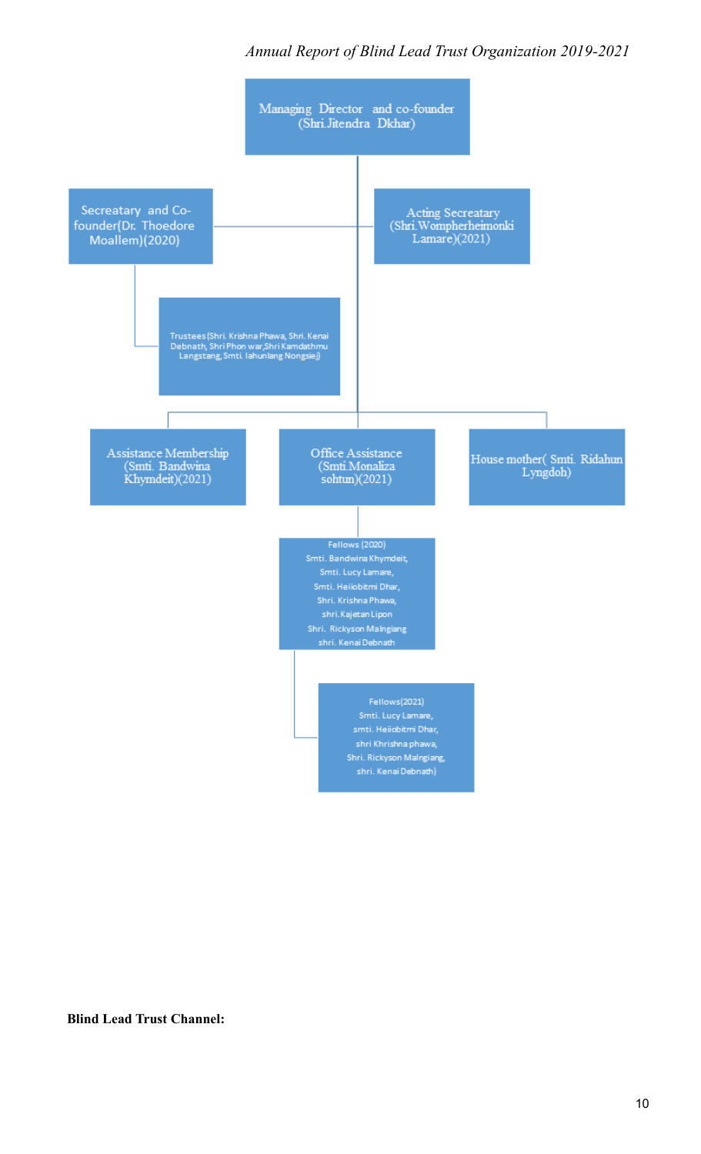

#### **Blind Lead Trust Channel:**